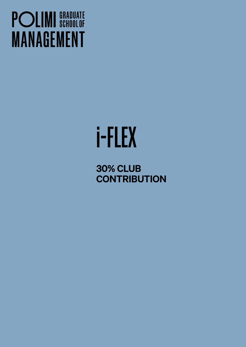## **POLIMI** SCHOOLOF **MANAGEMENT**

# i-FLEX

30% CLUB **CONTRIBUTION**